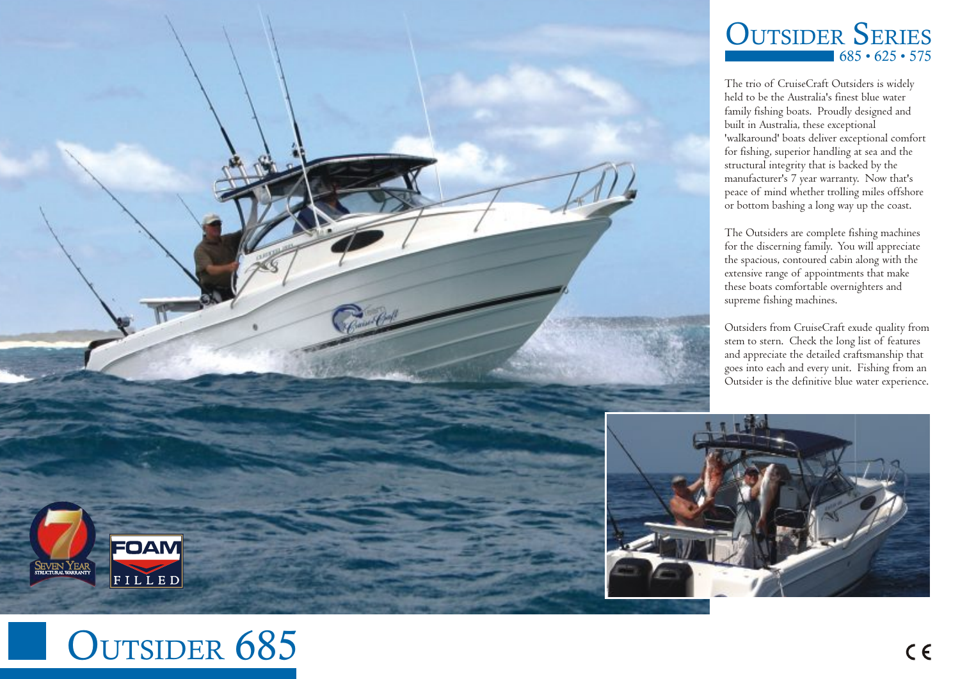

## $685 \cdot 625 \cdot 575$ **OUTSIDER SERIES**

The trio of CruiseCraft Outsiders is widely held to be the Australia's finest blue water family fishing boats. Proudly designed and built in Australia, these exceptional 'walkaround' boats deliver exceptional comfort for fishing, superior handling at sea and the structural integrity that is backed by the manufacturer's 7 year warranty. Now that's peace of mind whether trolling miles offshore or bottom bashing a long way up the coast.

The Outsiders are complete fishing machines for the discerning family. You will appreciate the spacious, contoured cabin along with the extensive range of appointments that make these boats comfortable overnighters and supreme fishing machines.

Outsiders from CruiseCraft exude quality from stem to stern. Check the long list of features and appreciate the detailed craftsmanship that goes into each and every unit. Fishing from an Outsider is the definitive blue water experience.



## OUTSIDER 685